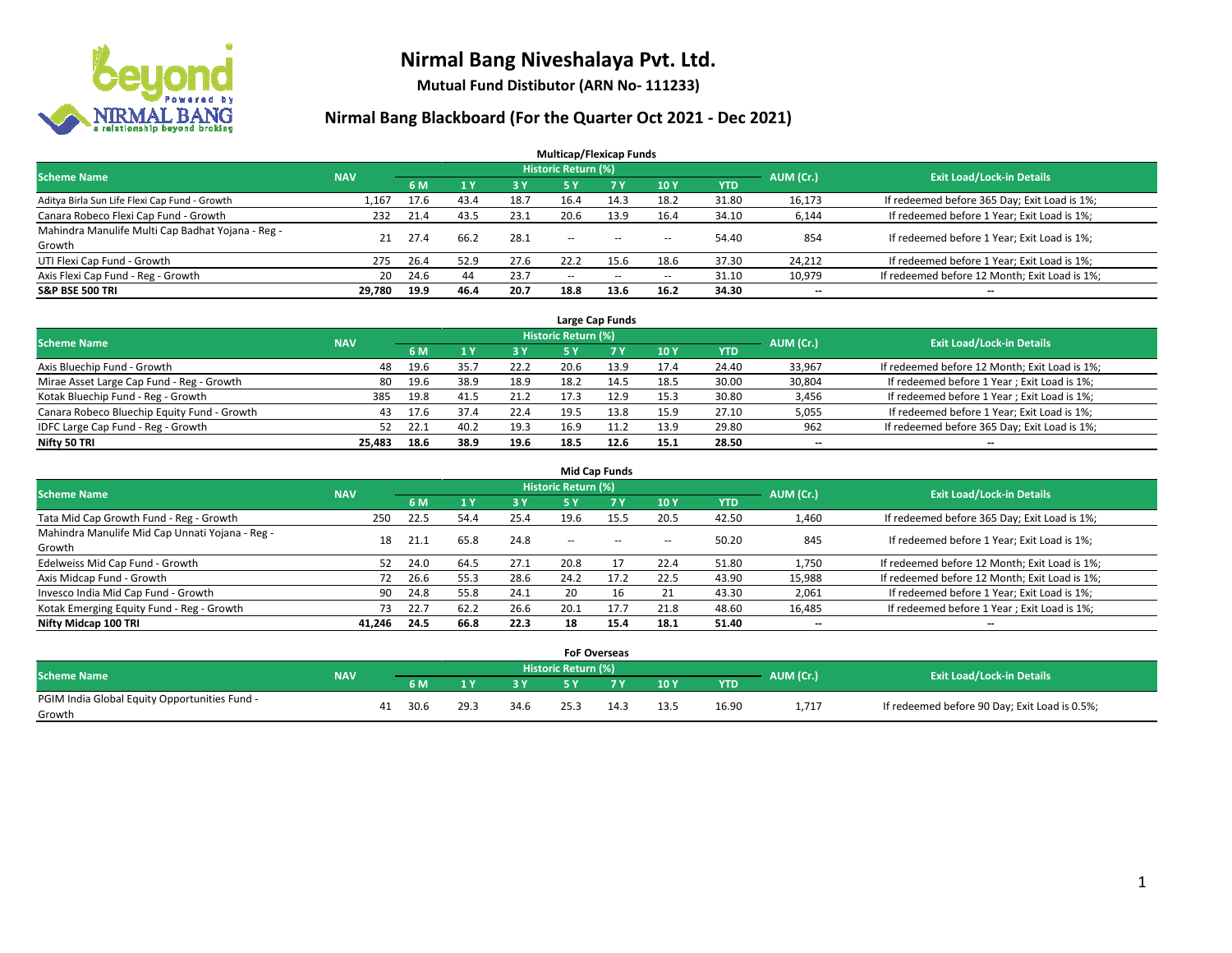

**Mutual Fund Distibutor (ARN No- 111233)**

| <b>Multicap/Flexicap Funds</b>                    |            |      |      |      |                            |        |                          |            |                          |                                               |  |  |  |  |
|---------------------------------------------------|------------|------|------|------|----------------------------|--------|--------------------------|------------|--------------------------|-----------------------------------------------|--|--|--|--|
| <b>Scheme Name</b>                                | <b>NAV</b> |      |      |      | <b>Historic Return (%)</b> |        |                          |            | AUM (Cr.)                | <b>Exit Load/Lock-in Details</b>              |  |  |  |  |
|                                                   |            | 6 M  | 1Y   | 3 Y  | <b>5Y</b>                  | 7 Y    | <b>10Y</b>               | <b>YTD</b> |                          |                                               |  |  |  |  |
| Aditya Birla Sun Life Flexi Cap Fund - Growth     | 1,167      | 17.6 | 43.4 | 18.7 | 16.4                       | 14.3   | 18.2                     | 31.80      | 16,173                   | If redeemed before 365 Day; Exit Load is 1%;  |  |  |  |  |
| Canara Robeco Flexi Cap Fund - Growth             | 232        | 21.4 | 43.5 | 23.1 | 20.6                       | 13.9   | 16.4                     | 34.10      | 6,144                    | If redeemed before 1 Year; Exit Load is 1%;   |  |  |  |  |
| Mahindra Manulife Multi Cap Badhat Yojana - Reg - | 21         | 27.4 | 66.2 | 28.1 | $\sim$                     |        |                          | 54.40      | 854                      | If redeemed before 1 Year; Exit Load is 1%;   |  |  |  |  |
| Growth                                            |            |      |      |      |                            | $- -$  | $\overline{\phantom{a}}$ |            |                          |                                               |  |  |  |  |
| UTI Flexi Cap Fund - Growth                       | 275        | 26.4 | 52.9 | 27.6 | 22.2                       | 15.6   | 18.6                     | 37.30      | 24,212                   | If redeemed before 1 Year; Exit Load is 1%;   |  |  |  |  |
| Axis Flexi Cap Fund - Reg - Growth                | 20         | 24.6 | 44   | 23.7 | $\overline{\phantom{a}}$   | $\sim$ | $\overline{\phantom{a}}$ | 31.10      | 10,979                   | If redeemed before 12 Month; Exit Load is 1%; |  |  |  |  |
| <b>S&amp;P BSE 500 TRI</b>                        | 29,780     | 19.9 | 46.4 | 20.7 | 18.8                       | 13.6   | 16.2                     | 34.30      | $\overline{\phantom{a}}$ | $- -$                                         |  |  |  |  |

|                                             |            |      |      |      |                            | Large Cap Funds |      |            |           |                                               |
|---------------------------------------------|------------|------|------|------|----------------------------|-----------------|------|------------|-----------|-----------------------------------------------|
| <b>Scheme Name</b>                          | <b>NAV</b> |      |      |      | <b>Historic Return (%)</b> |                 |      |            | AUM (Cr.) | <b>Exit Load/Lock-in Details</b>              |
|                                             |            | 6 M  |      | 3 Y  |                            | <b>7 Y</b>      | 10Y  | <b>YTD</b> |           |                                               |
| Axis Bluechip Fund - Growth                 | 48         | 19.6 | 35.7 | 22.2 | 20.6                       | 13.9            | 17.4 | 24.40      | 33,967    | If redeemed before 12 Month; Exit Load is 1%; |
| Mirae Asset Large Cap Fund - Reg - Growth   | 80         | 19.6 | 38.9 | 18.9 | 18.2                       | 14.5            | 18.5 | 30.00      | 30,804    | If redeemed before 1 Year; Exit Load is 1%;   |
| Kotak Bluechip Fund - Reg - Growth          | 385        | 19.8 | 41.5 | 21.2 |                            | 12.9            | 15.3 | 30.80      | 3,456     | If redeemed before 1 Year; Exit Load is 1%;   |
| Canara Robeco Bluechip Equity Fund - Growth | 43         | 17.6 |      | 22.4 | 19.5                       | 13.8            | 15.9 | 27.10      | 5,055     | If redeemed before 1 Year; Exit Load is 1%;   |
| IDFC Large Cap Fund - Reg - Growth          | 52         | 22.1 | 40.7 | 19.3 | 16.9                       | 11.2            | 13.9 | 29.80      | 962       | If redeemed before 365 Day; Exit Load is 1%;  |
| Nifty 50 TRI                                | 25.483     | 18.6 | 38.9 | 19.6 | 18.5                       | 12.6            | 15.1 | 28.50      | $- -$     | $- -$                                         |

| <b>Mid Cap Funds</b>                                      |            |      |      |      |                     |           |                          |       |                          |                                               |  |  |  |  |
|-----------------------------------------------------------|------------|------|------|------|---------------------|-----------|--------------------------|-------|--------------------------|-----------------------------------------------|--|--|--|--|
| <b>Scheme Name</b>                                        | <b>NAV</b> |      |      |      | Historic Return (%) |           |                          |       |                          | <b>Exit Load/Lock-in Details</b>              |  |  |  |  |
|                                                           |            | 6 M  |      | 3 Y  | 5 Y                 | <b>7Y</b> | 10Y                      | YTD   | AUM (Cr.)                |                                               |  |  |  |  |
| Tata Mid Cap Growth Fund - Reg - Growth                   | 250        | 22.5 | 54.4 | 25.4 | 19.6                | 15.5      | 20.5                     | 42.50 | 1,460                    | If redeemed before 365 Day; Exit Load is 1%;  |  |  |  |  |
| Mahindra Manulife Mid Cap Unnati Yojana - Reg -<br>Growth | 18         | 21.1 | 65.8 | 24.8 | $-$                 | $\sim$    | $\overline{\phantom{a}}$ | 50.20 | 845                      | If redeemed before 1 Year; Exit Load is 1%;   |  |  |  |  |
| Edelweiss Mid Cap Fund - Growth                           | 52         | 24.0 | 64.5 | 27.1 | 20.8                |           | 22.4                     | 51.80 | 1,750                    | If redeemed before 12 Month; Exit Load is 1%; |  |  |  |  |
| Axis Midcap Fund - Growth                                 | 72         | 26.6 | 55.3 | 28.6 | 24.2                | 17.2      | 22.5                     | 43.90 | 15,988                   | If redeemed before 12 Month; Exit Load is 1%; |  |  |  |  |
| Invesco India Mid Cap Fund - Growth                       | 90         | 24.8 | 55.8 | 24.1 | 20                  | 16        | 21                       | 43.30 | 2,061                    | If redeemed before 1 Year; Exit Load is 1%;   |  |  |  |  |
| Kotak Emerging Equity Fund - Reg - Growth                 | 73         | 22.7 | 62.2 | 26.6 | 20.1                | 17.7      | 21.8                     | 48.60 | 16,485                   | If redeemed before 1 Year; Exit Load is 1%;   |  |  |  |  |
| Nifty Midcap 100 TRI                                      | 41.246     | 24.5 | 66.8 | 22.3 | 18                  | 15.4      | 18.1                     | 51.40 | $\overline{\phantom{a}}$ | $-$                                           |  |  |  |  |

|                                               |            |      |      |      |                            | <b>FoF Overseas</b> |                 |            |           |                                               |  |
|-----------------------------------------------|------------|------|------|------|----------------------------|---------------------|-----------------|------------|-----------|-----------------------------------------------|--|
| Scheme Name                                   | <b>NAV</b> |      |      |      | <b>Historic Return (%)</b> |                     |                 |            | AUM (Cr.) | <b>Exit Load/Lock-in Details</b>              |  |
|                                               |            | 6 M  |      | зv   |                            | ע ל                 | 10 <sub>Y</sub> | <b>YTD</b> |           |                                               |  |
| PGIM India Global Equity Opportunities Fund - |            | 30.6 | 29.3 | 34.6 |                            | 14.3                | 13.5            | 16.90      | 1,717     | If redeemed before 90 Day; Exit Load is 0.5%; |  |
| Growth                                        |            |      |      |      |                            |                     |                 |            |           |                                               |  |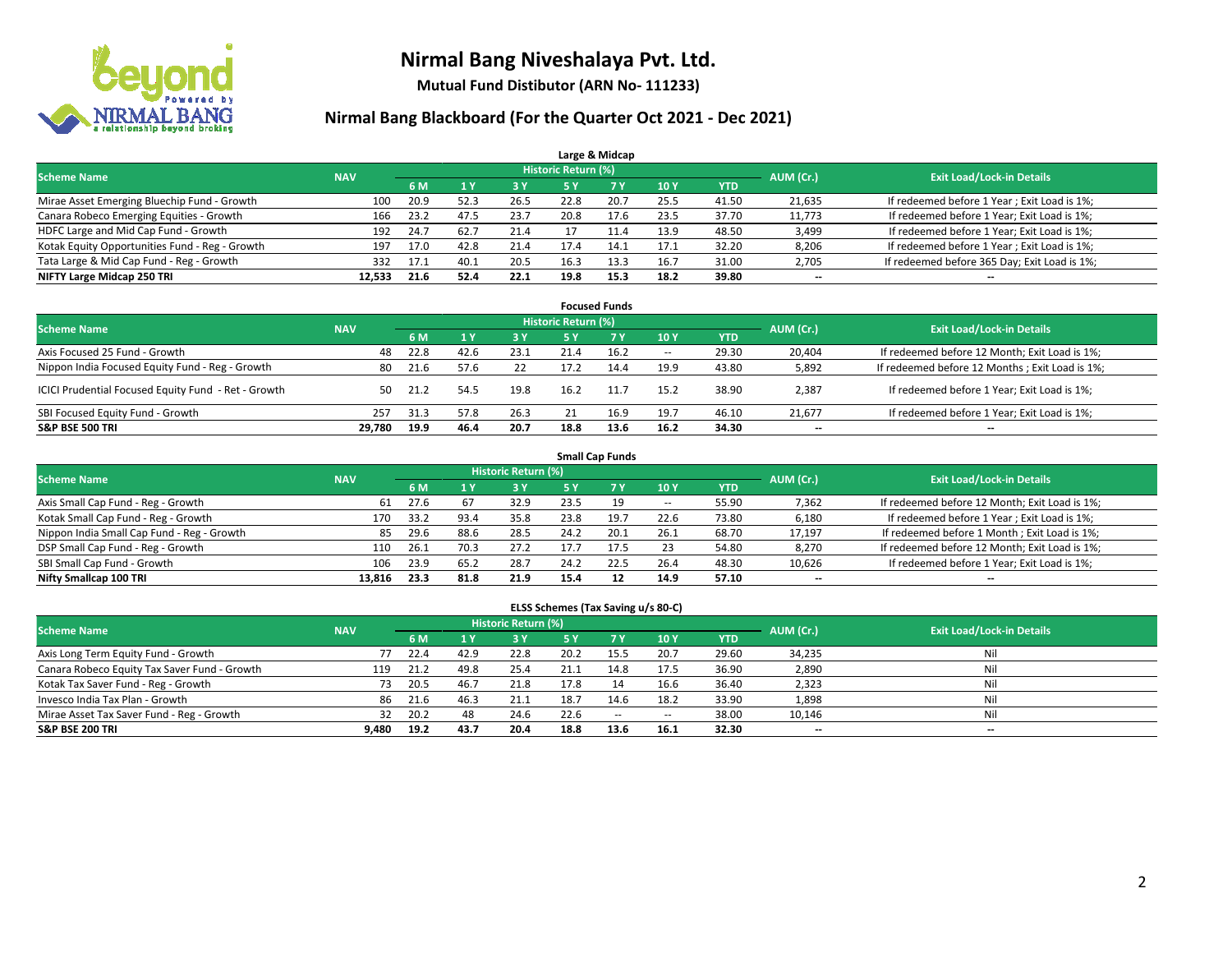

**Mutual Fund Distibutor (ARN No- 111233)**

### **Nirmal Bang Blackboard (For the Quarter Oct 2021 - Dec 2021)**

|                                                |            |      |      |      |                            | Large & Midcap |      |            |                          |                                              |
|------------------------------------------------|------------|------|------|------|----------------------------|----------------|------|------------|--------------------------|----------------------------------------------|
| <b>Scheme Name</b>                             | <b>NAV</b> |      |      |      | <b>Historic Return (%)</b> |                |      |            | AUM (Cr.)                | <b>Exit Load/Lock-in Details</b>             |
|                                                |            | 6 M  |      | 3 Y  | 5 Y                        | 7 Y            | 10Y  | <b>YTD</b> |                          |                                              |
| Mirae Asset Emerging Bluechip Fund - Growth    | 100        | 20.9 | 52.3 | 26.5 | 22.8                       | 20.7           | 25.5 | 41.50      | 21,635                   | If redeemed before 1 Year; Exit Load is 1%;  |
| Canara Robeco Emerging Equities - Growth       | 166        | 23.2 | 47.5 | 23.7 | 20.8                       | 17.6           | 23.5 | 37.70      | 11,773                   | If redeemed before 1 Year; Exit Load is 1%;  |
| HDFC Large and Mid Cap Fund - Growth           | 192        | 24.7 | 62.7 | 21.4 |                            |                | 13.9 | 48.50      | 3,499                    | If redeemed before 1 Year; Exit Load is 1%;  |
| Kotak Equity Opportunities Fund - Reg - Growth | 197        | 17.0 | 42.8 | 21.4 | 17.4                       | 14.1           | 17.1 | 32.20      | 8,206                    | If redeemed before 1 Year; Exit Load is 1%;  |
| Tata Large & Mid Cap Fund - Reg - Growth       | 332        | 17.1 | 40.1 | 20.5 | 16.3                       | 13.3           | 16.7 | 31.00      | 2,705                    | If redeemed before 365 Day; Exit Load is 1%; |
| NIFTY Large Midcap 250 TRI                     | 12.533     | 21.6 | 52.4 | 22.1 | 19.8                       | 15.3           | 18.2 | 39.80      | $\overline{\phantom{a}}$ | $- -$                                        |

| <b>Focused Funds</b>                                |            |      |      |      |                     |      |                          |       |                          |                                                |  |  |  |  |
|-----------------------------------------------------|------------|------|------|------|---------------------|------|--------------------------|-------|--------------------------|------------------------------------------------|--|--|--|--|
| <b>Scheme Name</b>                                  | <b>NAV</b> |      |      |      | Historic Return (%) |      |                          |       | AUM (Cr.)                | <b>Exit Load/Lock-in Details</b>               |  |  |  |  |
|                                                     |            | 6 M  |      | 3V   | 5 Y                 | 7 Y  | 10Y                      | YTD   |                          |                                                |  |  |  |  |
| Axis Focused 25 Fund - Growth                       | 48         | 22.8 | 42.6 | 23.1 |                     | 16.2 | $\overline{\phantom{a}}$ | 29.30 | 20.404                   | If redeemed before 12 Month; Exit Load is 1%;  |  |  |  |  |
| Nippon India Focused Equity Fund - Reg - Growth     | 80         | 21.6 | 57.6 | 22   | 17.2                | 14.4 | 19.9                     | 43.80 | 5,892                    | If redeemed before 12 Months; Exit Load is 1%; |  |  |  |  |
| ICICI Prudential Focused Equity Fund - Ret - Growth | 50         | 21.2 | 54.5 | 19.8 | 16.2                | 11.7 | 15.2                     | 38.90 | 2,387                    | If redeemed before 1 Year; Exit Load is 1%;    |  |  |  |  |
| SBI Focused Equity Fund - Growth                    | 257        | 31.3 | 57.8 | 26.3 |                     | 16.9 | 19.7                     | 46.10 | 21,677                   | If redeemed before 1 Year; Exit Load is 1%;    |  |  |  |  |
| <b>S&amp;P BSE 500 TRI</b>                          | 29.780     | 19.9 | 46.4 | 20.7 | 18.8                | 13.6 | 16.2                     | 34.30 | $\overline{\phantom{a}}$ | $\overline{\phantom{a}}$                       |  |  |  |  |

| <b>Small Cap Funds</b>                     |            |      |      |                     |      |           |            |            |           |                                               |  |  |  |  |
|--------------------------------------------|------------|------|------|---------------------|------|-----------|------------|------------|-----------|-----------------------------------------------|--|--|--|--|
| <b>Scheme Name</b>                         | <b>NAV</b> |      |      | Historic Return (%) |      |           |            |            | AUM (Cr.) | <b>Exit Load/Lock-in Details</b>              |  |  |  |  |
|                                            |            | 6 M  |      | 3 Y                 | 5 Y  | <b>7Y</b> | <b>10Y</b> | <b>YTD</b> |           |                                               |  |  |  |  |
| Axis Small Cap Fund - Reg - Growth         | 61         | 27.6 | 67   | 32.9                | 23.5 | 19        | $- -$      | 55.90      | 7,362     | If redeemed before 12 Month; Exit Load is 1%; |  |  |  |  |
| Kotak Small Cap Fund - Reg - Growth        | 170        | 33.2 | 93.4 | 35.8                | 23.8 | 19.7      | 22.6       | 73.80      | 6,180     | If redeemed before 1 Year; Exit Load is 1%;   |  |  |  |  |
| Nippon India Small Cap Fund - Reg - Growth | 85         | 29.6 | 88.6 | 28.5                | 24.2 | 20.1      | 26.1       | 68.70      | 17,197    | If redeemed before 1 Month; Exit Load is 1%;  |  |  |  |  |
| DSP Small Cap Fund - Reg - Growth          | 110        | 26.1 | 70.3 | 27.2                | 17.7 | 17.5      | 23         | 54.80      | 8,270     | If redeemed before 12 Month; Exit Load is 1%; |  |  |  |  |
| SBI Small Cap Fund - Growth                | 106        | 23.9 | 65.2 | 28.7                | 24.2 | 22.5      | 26.4       | 48.30      | 10,626    | If redeemed before 1 Year; Exit Load is 1%;   |  |  |  |  |
| Nifty Smallcap 100 TRI                     | 13.816     | 23.3 | 81.8 | 21.9                | 15.4 | 12        | 14.9       | 57.10      | --        | $\overline{\phantom{a}}$                      |  |  |  |  |

#### **ELSS Schemes (Tax Saving u/s 80-C)**

| <b>Scheme Name</b>                           | <b>NAV</b> |      |      | <b>Historic Return (%)</b> |           |           |            |            | AUM (Cr.) | <b>Exit Load/Lock-in Details</b> |
|----------------------------------------------|------------|------|------|----------------------------|-----------|-----------|------------|------------|-----------|----------------------------------|
|                                              |            | 6 M  |      | <b>3Y</b>                  | <b>5Y</b> | <b>7Y</b> | <b>10Y</b> | <b>YTD</b> |           |                                  |
| Axis Long Term Equity Fund - Growth          |            | 22.4 | 42.9 | 22.8                       | 20.2      | 15.5      | 20.7       | 29.60      | 34,235    | Nil                              |
| Canara Robeco Equity Tax Saver Fund - Growth | 119        | 21.2 | 49.8 | 25.4                       | 21.1      | 14.8      | 17.5       | 36.90      | 2,890     | Nil                              |
| Kotak Tax Saver Fund - Reg - Growth          | 73         | 20.5 | 46.7 | 21.8                       | 17.8      |           | 16.6       | 36.40      | 2,323     | Nil                              |
| Invesco India Tax Plan - Growth              | 86         | 21.6 | 46.3 | 21.1                       | 18.7      | 14.6      | 18.2       | 33.90      | 1,898     | Nil                              |
| Mirae Asset Tax Saver Fund - Reg - Growth    | 32         | 20.2 | 48   | 24.6                       | 22.6      | $\sim$    | $\!-$      | 38.00      | 10,146    | Nil                              |
| <b>S&amp;P BSE 200 TRI</b>                   | 9,480      | 19.2 | 43.7 | 20.4                       | 18.8      | 13.6      | 16.1       | 32.30      | --        | $\overline{\phantom{a}}$         |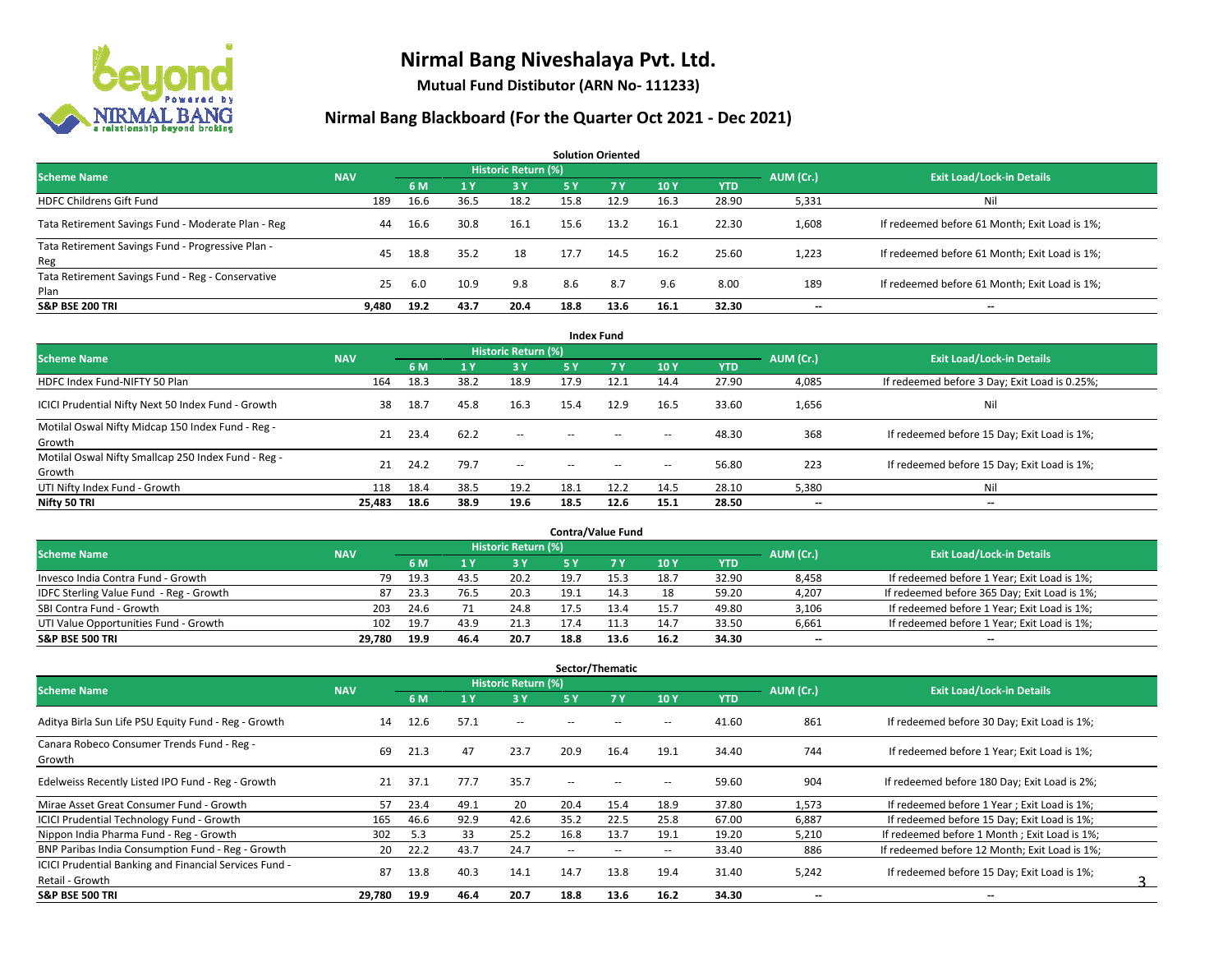

**Mutual Fund Distibutor (ARN No- 111233)**

| <b>Solution Oriented</b>                                  |            |      |       |                     |           |      |      |            |           |                                               |  |  |  |  |
|-----------------------------------------------------------|------------|------|-------|---------------------|-----------|------|------|------------|-----------|-----------------------------------------------|--|--|--|--|
| <b>Scheme Name</b>                                        | <b>NAV</b> |      |       | Historic Return (%) |           |      |      |            | AUM (Cr.) | <b>Exit Load/Lock-in Details</b>              |  |  |  |  |
|                                                           |            | 6 M  | $A$ Y | $-3Y$               | <b>5Y</b> | 7Y   | 10Y  | <b>YTD</b> |           |                                               |  |  |  |  |
| <b>HDFC Childrens Gift Fund</b>                           | 189        | 16.6 | 36.5  | 18.2                | 15.8      | 12.9 | 16.3 | 28.90      | 5,331     | Ni                                            |  |  |  |  |
| Tata Retirement Savings Fund - Moderate Plan - Reg        | 44         | 16.6 | 30.8  | 16.1                | 15.6      | 13.2 | 16.1 | 22.30      | 1,608     | If redeemed before 61 Month; Exit Load is 1%; |  |  |  |  |
| Tata Retirement Savings Fund - Progressive Plan -<br>Reg  | 45         | 18.8 | 35.2  | 18                  | 17.7      | 14.5 | 16.2 | 25.60      | 1,223     | If redeemed before 61 Month; Exit Load is 1%; |  |  |  |  |
| Tata Retirement Savings Fund - Reg - Conservative<br>Plan | 25         | 6.0  | 10.9  | 9.8                 | 8.6       | 8.7  | 9.6  | 8.00       | 189       | If redeemed before 61 Month; Exit Load is 1%; |  |  |  |  |
| <b>S&amp;P BSE 200 TRI</b>                                | 9.480      | 19.2 | 43.7  | 20.4                | 18.8      | 13.6 | 16.1 | 32.30      | $- -$     | $-$                                           |  |  |  |  |

| <b>Index Fund</b>                                             |            |      |      |                            |        |                                                |                          |            |                          |                                               |  |  |  |  |
|---------------------------------------------------------------|------------|------|------|----------------------------|--------|------------------------------------------------|--------------------------|------------|--------------------------|-----------------------------------------------|--|--|--|--|
| <b>Scheme Name</b>                                            | <b>NAV</b> |      |      | <b>Historic Return (%)</b> |        |                                                |                          |            | AUM (Cr.)                | <b>Exit Load/Lock-in Details</b>              |  |  |  |  |
|                                                               |            | 6 M  | 71 Y | 3Y                         | 5 Y    | 7V                                             | 10Y                      | <b>YTD</b> |                          |                                               |  |  |  |  |
| HDFC Index Fund-NIFTY 50 Plan                                 | 164        | 18.3 | 38.2 | 18.9                       | 17.9   | 12.1                                           | 14.4                     | 27.90      | 4,085                    | If redeemed before 3 Day; Exit Load is 0.25%; |  |  |  |  |
| ICICI Prudential Nifty Next 50 Index Fund - Growth            | 38         | 18.7 | 45.8 | 16.3                       | 15.4   | 12.9                                           | 16.5                     | 33.60      | 1,656                    | Nil                                           |  |  |  |  |
| Motilal Oswal Nifty Midcap 150 Index Fund - Reg -<br>Growth   | 21         | 23.4 | 62.2 | $\sim$                     | $-$    | $- -$                                          | $\overline{\phantom{a}}$ | 48.30      | 368                      | If redeemed before 15 Day; Exit Load is 1%;   |  |  |  |  |
| Motilal Oswal Nifty Smallcap 250 Index Fund - Reg -<br>Growth | 21         | 24.2 | 79.7 | $\sim$ $-$                 | $\sim$ | $\hspace{0.1mm}-\hspace{0.1mm}-\hspace{0.1mm}$ | $\hspace{0.05cm} \cdots$ | 56.80      | 223                      | If redeemed before 15 Day; Exit Load is 1%;   |  |  |  |  |
| UTI Nifty Index Fund - Growth                                 | 118        | 18.4 | 38.5 | 19.2                       | 18.1   | 12.2                                           | 14.5                     | 28.10      | 5,380                    | Nil                                           |  |  |  |  |
| Nifty 50 TRI                                                  | 25,483     | 18.6 | 38.9 | 19.6                       | 18.5   | 12.6                                           | 15.1                     | 28.50      | $\overline{\phantom{a}}$ | $\overline{\phantom{a}}$                      |  |  |  |  |

| <b>Contra/Value Fund</b>                |            |       |      |                     |      |      |      |       |           |                                              |  |  |  |  |
|-----------------------------------------|------------|-------|------|---------------------|------|------|------|-------|-----------|----------------------------------------------|--|--|--|--|
| <b>Scheme Name</b>                      | <b>NAV</b> |       |      | Historic Return (%) |      |      |      |       | AUM (Cr.) | <b>Exit Load/Lock-in Details</b>             |  |  |  |  |
|                                         |            | 6 M   |      | 3 Y                 |      |      | 10Y  | YTD   |           |                                              |  |  |  |  |
| Invesco India Contra Fund - Growth      | 79         | 19.3  | 43.5 | 20.2                | 19.7 | 15.3 | 18.7 | 32.90 | 8,458     | If redeemed before 1 Year; Exit Load is 1%;  |  |  |  |  |
| IDFC Sterling Value Fund - Reg - Growth | 87         | -23.3 | 76.5 | 20.3                | 19.1 | 14.3 | 18   | 59.20 | 4,207     | If redeemed before 365 Day; Exit Load is 1%; |  |  |  |  |
| SBI Contra Fund - Growth                | 203        | 24.6  |      | 24.8                | 17.5 |      | 15.7 | 49.80 | 3,106     | If redeemed before 1 Year; Exit Load is 1%;  |  |  |  |  |
| UTI Value Opportunities Fund - Growth   | 102        | 19.7  | 43.9 | 21.3                | 17.4 | 11.3 | 14.7 | 33.50 | 6,661     | If redeemed before 1 Year; Exit Load is 1%;  |  |  |  |  |
| <b>S&amp;P BSE 500 TRI</b>              | 29.780     | 19.9  | 46.4 | 20.7                | 18.8 | 13.6 | 16.2 | 34.30 | $- -$     | $- -$                                        |  |  |  |  |

| Sector/Thematic                                        |            |      |      |                            |                          |                          |                          |            |                          |                                               |  |  |  |
|--------------------------------------------------------|------------|------|------|----------------------------|--------------------------|--------------------------|--------------------------|------------|--------------------------|-----------------------------------------------|--|--|--|
| <b>Scheme Name</b>                                     | <b>NAV</b> |      |      | <b>Historic Return (%)</b> |                          |                          |                          |            | AUM (Cr.)                | <b>Exit Load/Lock-in Details</b>              |  |  |  |
|                                                        |            | 6 M  | 1 Y  | 3 Y                        | 5 Y                      | <b>7Y</b>                | 10Y                      | <b>YTD</b> |                          |                                               |  |  |  |
| Aditya Birla Sun Life PSU Equity Fund - Reg - Growth   | 14         | 12.6 | 57.1 | $- -$                      |                          |                          | --                       | 41.60      | 861                      | If redeemed before 30 Day; Exit Load is 1%;   |  |  |  |
| Canara Robeco Consumer Trends Fund - Reg -<br>Growth   | 69         | 21.3 | 47   | 23.7                       | 20.9                     | 16.4                     | 19.1                     | 34.40      | 744                      | If redeemed before 1 Year; Exit Load is 1%;   |  |  |  |
| Edelweiss Recently Listed IPO Fund - Reg - Growth      | 21         | 37.1 | 77.7 | 35.7                       | $\overline{\phantom{a}}$ | --                       | н.                       | 59.60      | 904                      | If redeemed before 180 Day; Exit Load is 2%;  |  |  |  |
| Mirae Asset Great Consumer Fund - Growth               | 57         | 23.4 | 49.1 | 20                         | 20.4                     | 15.4                     | 18.9                     | 37.80      | 1,573                    | If redeemed before 1 Year; Exit Load is 1%;   |  |  |  |
| <b>ICICI Prudential Technology Fund - Growth</b>       | 165        | 46.6 | 92.9 | 42.6                       | 35.2                     | 22.5                     | 25.8                     | 67.00      | 6,887                    | If redeemed before 15 Day; Exit Load is 1%;   |  |  |  |
| Nippon India Pharma Fund - Reg - Growth                | 302        | 5.3  | 33   | 25.2                       | 16.8                     | 13.7                     | 19.1                     | 19.20      | 5,210                    | If redeemed before 1 Month; Exit Load is 1%;  |  |  |  |
| BNP Paribas India Consumption Fund - Reg - Growth      | 20         | 22.2 | 43.7 | 24.7                       | $\overline{\phantom{a}}$ | $\overline{\phantom{a}}$ | $\overline{\phantom{a}}$ | 33.40      | 886                      | If redeemed before 12 Month: Exit Load is 1%: |  |  |  |
| ICICI Prudential Banking and Financial Services Fund - | 87         | 13.8 | 40.3 | 14.1                       | 14.7                     | 13.8                     | 19.4                     | 31.40      | 5,242                    | If redeemed before 15 Day; Exit Load is 1%;   |  |  |  |
| Retail - Growth                                        |            |      |      |                            |                          |                          |                          |            |                          |                                               |  |  |  |
| <b>S&amp;P BSE 500 TRI</b>                             | 29,780     | 19.9 | 46.4 | 20.7                       | 18.8                     | 13.6                     | 16.2                     | 34.30      | $\overline{\phantom{a}}$ | $\overline{\phantom{a}}$                      |  |  |  |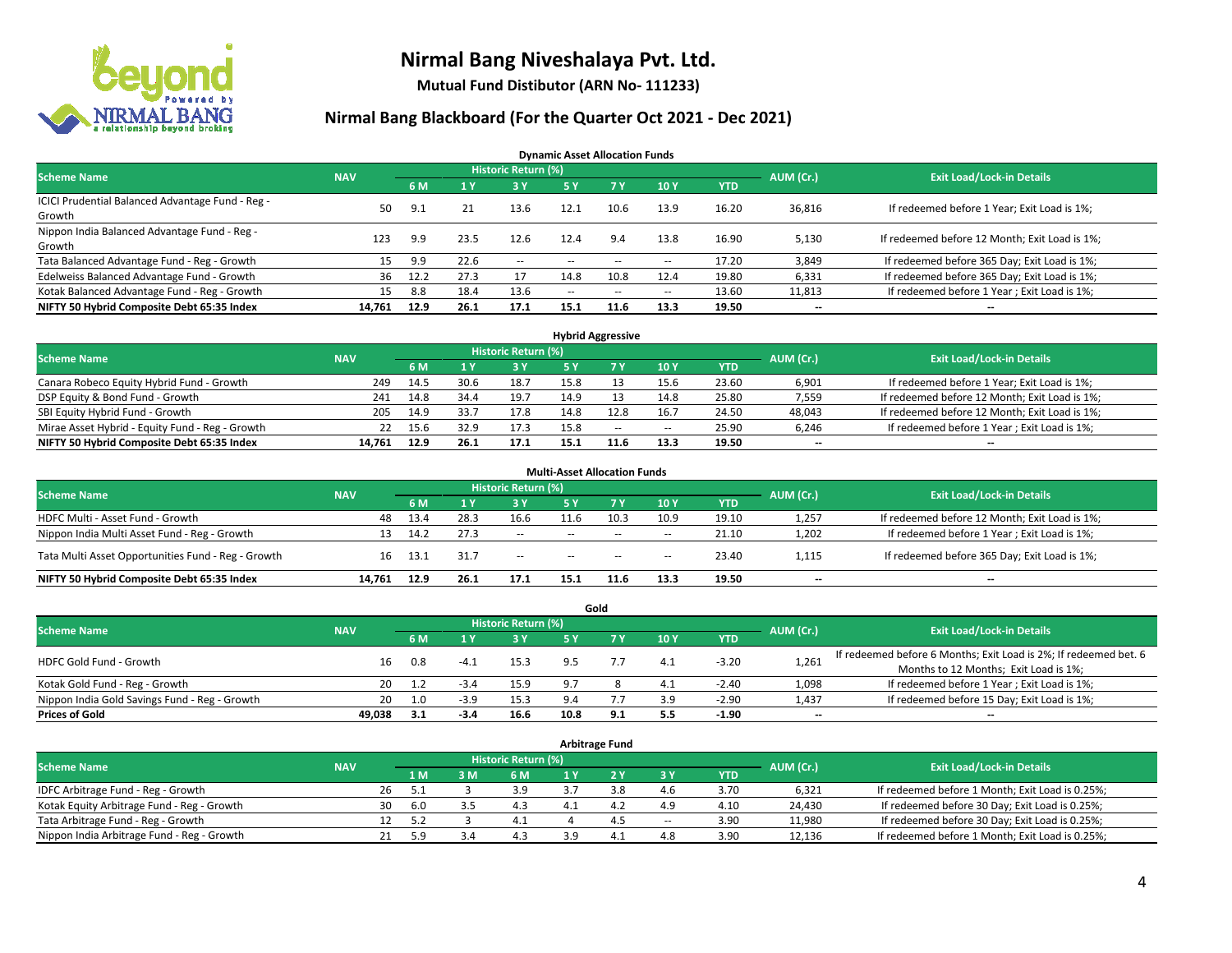

**Mutual Fund Distibutor (ARN No- 111233)**

### **Nirmal Bang Blackboard (For the Quarter Oct 2021 - Dec 2021)**

**Dynamic Asset Allocation Funds**

| <b>Scheme Name</b>                                         | <b>NAV</b> |      |      | Historic Return (%) |        |                                                |                          |       | AUM (Cr.)                | <b>Exit Load/Lock-in Details</b>              |
|------------------------------------------------------------|------------|------|------|---------------------|--------|------------------------------------------------|--------------------------|-------|--------------------------|-----------------------------------------------|
|                                                            |            | 6 M  |      | <b>3Y</b>           | 5 Y    | 7 Y                                            | 10Y                      | YTD   |                          |                                               |
| ICICI Prudential Balanced Advantage Fund - Reg -<br>Growth | 50.        | 9.1  |      | 13.6                | 12.1   | 10.6                                           | 13.9                     | 16.20 | 36,816                   | If redeemed before 1 Year; Exit Load is 1%;   |
| Nippon India Balanced Advantage Fund - Reg -<br>Growth     | 123        | 9.9  | 23.5 | 12.6                | 12.4   | 9.4                                            | 13.8                     | 16.90 | 5,130                    | If redeemed before 12 Month; Exit Load is 1%; |
| Tata Balanced Advantage Fund - Reg - Growth                | 15         | 9.9  | 22.6 | $\sim$              | $-$    | $\overline{\phantom{a}}$                       | $\overline{\phantom{a}}$ | 17.20 | 3,849                    | If redeemed before 365 Day; Exit Load is 1%;  |
| Edelweiss Balanced Advantage Fund - Growth                 | 36         | 12.2 | 27.3 |                     | 14.8   | 10.8                                           | 12.4                     | 19.80 | 6,331                    | If redeemed before 365 Day; Exit Load is 1%;  |
| Kotak Balanced Advantage Fund - Reg - Growth               | 15         | 8.8  | 18.4 | 13.6                | $\sim$ | $\hspace{0.1mm}-\hspace{0.1mm}-\hspace{0.1mm}$ | $\hspace{0.05cm} \cdots$ | 13.60 | 11,813                   | If redeemed before 1 Year; Exit Load is 1%;   |
| NIFTY 50 Hybrid Composite Debt 65:35 Index                 | 14.761     | 12.9 | 26.1 | 17.1                | 15.1   | 11.6                                           | 13.3                     | 19.50 | $\overline{\phantom{a}}$ | --                                            |

| <b>Hybrid Aggressive</b>                        |            |      |       |                            |      |      |        |            |           |                                               |  |  |  |
|-------------------------------------------------|------------|------|-------|----------------------------|------|------|--------|------------|-----------|-----------------------------------------------|--|--|--|
| <b>Scheme Name</b>                              | <b>NAV</b> |      |       | <b>Historic Return (%)</b> |      |      |        |            | AUM (Cr.) | <b>Exit Load/Lock-in Details</b>              |  |  |  |
|                                                 |            | 6 M  |       | 3 Y                        |      |      | 10Y    | <b>YTD</b> |           |                                               |  |  |  |
| Canara Robeco Equity Hybrid Fund - Growth       | 249        | 14.5 | 30.6  | 18.7                       | 15.8 |      | 15.6   | 23.60      | 6,901     | If redeemed before 1 Year; Exit Load is 1%;   |  |  |  |
| DSP Equity & Bond Fund - Growth                 | 241        | 14.8 | 34.4  | 19.7                       | 14.9 |      | 14.8   | 25.80      | 7,559     | If redeemed before 12 Month; Exit Load is 1%; |  |  |  |
| SBI Equity Hybrid Fund - Growth                 | 205        | 14.9 | 33.7  | 17.8                       | 14.8 | 12.8 | 16.7   | 24.50      | 48,043    | If redeemed before 12 Month; Exit Load is 1%; |  |  |  |
| Mirae Asset Hybrid - Equity Fund - Reg - Growth | 22         | 15.6 | 32.9  | 17.3                       | 15.8 | $-$  | $\sim$ | 25.90      | 6,246     | If redeemed before 1 Year; Exit Load is 1%;   |  |  |  |
| NIFTY 50 Hybrid Composite Debt 65:35 Index      | 14.761     | 12.9 | -26.1 | 17.1                       | 15.1 | 11.6 | 13.3   | 19.50      | $- -$     | $- -$                                         |  |  |  |

|                                                    |            |      |      |                            | <b>Multi-Asset Allocation Funds</b> |        |        |            |                          |                                               |
|----------------------------------------------------|------------|------|------|----------------------------|-------------------------------------|--------|--------|------------|--------------------------|-----------------------------------------------|
| <b>Scheme Name</b>                                 | <b>NAV</b> |      |      | <b>Historic Return (%)</b> |                                     |        |        |            | AUM (Cr.)                | <b>Exit Load/Lock-in Details</b>              |
|                                                    |            | 6 M  |      | <b>3Y</b>                  | 5 Y                                 | 7V     | 10Y    | <b>YTD</b> |                          |                                               |
| HDFC Multi - Asset Fund - Growth                   | 48         | 13.4 | 28.3 | 16.6                       | 11.6                                | 10.3   | 10.9   | 19.10      | 1,257                    | If redeemed before 12 Month; Exit Load is 1%; |
| Nippon India Multi Asset Fund - Reg - Growth       | 13         | 14.2 | 27.3 | $\sim$                     | $\sim$ $\sim$                       | $\sim$ | $\sim$ | 21.10      | 1,202                    | If redeemed before 1 Year; Exit Load is 1%;   |
| Tata Multi Asset Opportunities Fund - Reg - Growth | 16         | 13.1 | 31.7 | $\sim$                     | $-$                                 | $\sim$ | --     | 23.40      | 1,115                    | If redeemed before 365 Day; Exit Load is 1%;  |
| NIFTY 50 Hybrid Composite Debt 65:35 Index         | 14.761     | 12.9 | 26.1 | 17.1                       | 15.1                                | 11.6   | 13.3   | 19.50      | $\overline{\phantom{a}}$ | --                                            |

| Gold                                          |            |           |                                  |       |             |     |     |            |                          |                                                                  |  |  |  |  |
|-----------------------------------------------|------------|-----------|----------------------------------|-------|-------------|-----|-----|------------|--------------------------|------------------------------------------------------------------|--|--|--|--|
| <b>Scheme Name</b>                            | <b>NAV</b> | AUM (Cr.) | <b>Exit Load/Lock-in Details</b> |       |             |     |     |            |                          |                                                                  |  |  |  |  |
|                                               |            | 6 M       |                                  | 73 Y. | 5 Y         |     | 10Y | <b>YTD</b> |                          |                                                                  |  |  |  |  |
| HDFC Gold Fund - Growth                       |            | 0.8       | $-4.1$                           | 15.3  |             |     | 4.1 | $-3.20$    |                          | If redeemed before 6 Months; Exit Load is 2%; If redeemed bet. 6 |  |  |  |  |
|                                               | 16         |           |                                  |       |             |     |     |            | 1,261                    | Months to 12 Months; Exit Load is 1%;                            |  |  |  |  |
| Kotak Gold Fund - Reg - Growth                | 20         |           | $-5.4$                           | 15.9  |             |     | 4.1 | $-2.40$    | 1,098                    | If redeemed before 1 Year; Exit Load is 1%;                      |  |  |  |  |
| Nippon India Gold Savings Fund - Reg - Growth | 20         | 1.0       | $-3.9$                           | 15.3  | $Q \Lambda$ |     | 3.9 | $-2.90$    | 1,437                    | If redeemed before 15 Day; Exit Load is 1%;                      |  |  |  |  |
| <b>Prices of Gold</b>                         | 49.038     | 3.1       | -3.4                             | 16.6  | 10.8        | 9.1 | 5.5 | $-1.90$    | $\overline{\phantom{a}}$ | --                                                               |  |  |  |  |

| Arbitrage Fund                             |            |                                  |      |     |     |  |                |        |            |        |                                                 |  |  |
|--------------------------------------------|------------|----------------------------------|------|-----|-----|--|----------------|--------|------------|--------|-------------------------------------------------|--|--|
| <b>Scheme Name</b>                         | AUM (Cr.)  | <b>Exit Load/Lock-in Details</b> |      |     |     |  |                |        |            |        |                                                 |  |  |
|                                            | <b>NAV</b> |                                  | 1 M  | 3 M | 6 M |  |                | 3 Y    | <b>YTD</b> |        |                                                 |  |  |
| IDFC Arbitrage Fund - Reg - Growth         |            | 26                               |      |     | 3.9 |  | 3.8            | 4.6    | 3.70       | 6,321  | If redeemed before 1 Month; Exit Load is 0.25%; |  |  |
| Kotak Equity Arbitrage Fund - Reg - Growth |            | 30                               | -6.0 |     | 4.3 |  | Δ.             | 4.9    | 4.10       | 24,430 | If redeemed before 30 Day; Exit Load is 0.25%;  |  |  |
| Tata Arbitrage Fund - Reg - Growth         |            | 12                               | 5.2  |     | 4.1 |  | 4.5            | $\sim$ | 3.90       | 11,980 | If redeemed before 30 Day; Exit Load is 0.25%;  |  |  |
| Nippon India Arbitrage Fund - Reg - Growth |            | 21                               | 5.9  |     | 4.3 |  | 4 <sup>1</sup> | 4.8    | 3.90       | 12,136 | If redeemed before 1 Month; Exit Load is 0.25%; |  |  |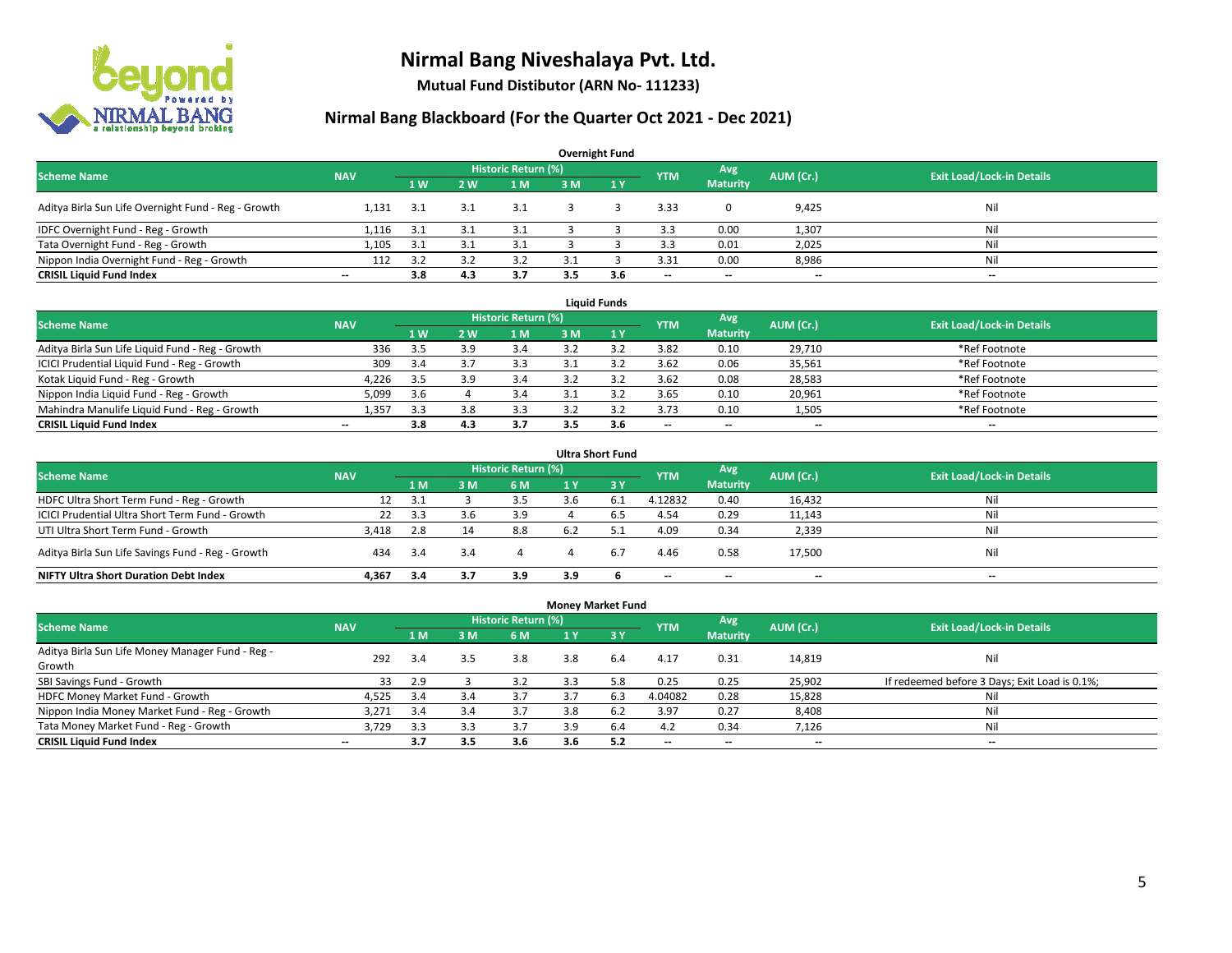

**Mutual Fund Distibutor (ARN No- 111233)**

| <b>Overnight Fund</b>                               |                          |      |     |                            |     |                |                          |                          |           |                                  |  |  |  |  |
|-----------------------------------------------------|--------------------------|------|-----|----------------------------|-----|----------------|--------------------------|--------------------------|-----------|----------------------------------|--|--|--|--|
| <b>Scheme Name</b>                                  | <b>NAV</b>               |      |     | <b>Historic Return (%)</b> |     |                | <b>YTM</b>               | Avg                      | AUM (Cr.) | <b>Exit Load/Lock-in Details</b> |  |  |  |  |
|                                                     |                          | 1W   | 2W  | 1 M                        | 3 M | $\sqrt{1}$ $V$ |                          | <b>Maturity</b>          |           |                                  |  |  |  |  |
| Aditya Birla Sun Life Overnight Fund - Reg - Growth | 1.131                    | 3.1  |     | 3.1                        |     |                | 3.33                     |                          | 9,425     | Nil                              |  |  |  |  |
| IDFC Overnight Fund - Reg - Growth                  | 1,116                    | 3.1  |     | 3.1                        |     |                | 3.3                      | 0.00                     | 1,307     | Nil                              |  |  |  |  |
| Tata Overnight Fund - Reg - Growth                  | 1.105                    | -3.1 |     | 3.1                        |     |                | 3.3                      | 0.01                     | 2,025     | Ni                               |  |  |  |  |
| Nippon India Overnight Fund - Reg - Growth          | 112                      | 3.2  |     | 3.2                        |     |                | 3.31                     | 0.00                     | 8,986     | Ni                               |  |  |  |  |
| <b>CRISIL Liquid Fund Index</b>                     | $\overline{\phantom{a}}$ | 3.8  | 4.3 | 3.7                        | 3.5 | 3.6            | $\overline{\phantom{a}}$ | $\overline{\phantom{a}}$ | $- -$     | $- -$                            |  |  |  |  |

| <b>Liquid Funds</b>                              |            |                |     |                     |     |     |            |                          |           |                                  |  |  |  |
|--------------------------------------------------|------------|----------------|-----|---------------------|-----|-----|------------|--------------------------|-----------|----------------------------------|--|--|--|
| <b>Scheme Name</b>                               | <b>NAV</b> |                |     | Historic Return (%) |     |     | <b>YTM</b> | Avg                      | AUM (Cr.) | <b>Exit Load/Lock-in Details</b> |  |  |  |
|                                                  |            | 1 <sub>W</sub> | 2 W | 1 M                 | 3 M |     |            | <b>Maturity</b>          |           |                                  |  |  |  |
| Aditya Birla Sun Life Liquid Fund - Reg - Growth | 336        | 3.5            |     | 3.4                 |     |     | 3.82       | 0.10                     | 29.710    | *Ref Footnote                    |  |  |  |
| ICICI Prudential Liquid Fund - Reg - Growth      | 309        | 3.4            |     | 3.3                 |     |     | 3.62       | 0.06                     | 35,561    | *Ref Footnote                    |  |  |  |
| Kotak Liquid Fund - Reg - Growth                 | 4,226      | 3.5            |     | 3.4                 |     |     | 3.62       | 0.08                     | 28,583    | *Ref Footnote                    |  |  |  |
| Nippon India Liquid Fund - Reg - Growth          | 5,099      | 3.6            |     | 3.4                 |     |     | 3.65       | 0.10                     | 20,961    | *Ref Footnote                    |  |  |  |
| Mahindra Manulife Liquid Fund - Reg - Growth     | 1.357      | 3.3            | 3.8 | 3.3                 |     |     | 3.73       | 0.10                     | 1,505     | *Ref Footnote                    |  |  |  |
| <b>CRISIL Liquid Fund Index</b>                  | $- -$      | 3.8            | 4.3 | 3.7                 | 3.5 | 3.6 | $- -$      | $\overline{\phantom{a}}$ | $- -$     | $\overline{\phantom{a}}$         |  |  |  |

| <b>Ultra Short Fund</b>                           |            |      |     |                            |     |     |                          |                          |           |                                  |  |  |  |
|---------------------------------------------------|------------|------|-----|----------------------------|-----|-----|--------------------------|--------------------------|-----------|----------------------------------|--|--|--|
| <b>Scheme Name</b>                                | <b>NAV</b> |      |     | <b>Historic Return (%)</b> |     |     | <b>YTM</b>               | Avg                      | AUM (Cr.) | <b>Exit Load/Lock-in Details</b> |  |  |  |
|                                                   |            | 1 M  | 3 M | 6 M                        | 1 Y | '3V |                          | <b>Maturity</b>          |           |                                  |  |  |  |
| HDFC Ultra Short Term Fund - Reg - Growth         | 12         | 3.1  |     | 3.5                        |     |     | 4.12832                  | 0.40                     | 16,432    | Nil                              |  |  |  |
| ICICI Prudential Ultra Short Term Fund - Growth   | 22         | -3.3 | 3.6 | 3.9                        |     |     | 4.54                     | 0.29                     | 11,143    | Nil                              |  |  |  |
| UTI Ultra Short Term Fund - Growth                | 3.418      | 2.8  |     | 8.8                        | 6.2 |     | 4.09                     | 0.34                     | 2,339     | Nil                              |  |  |  |
| Aditya Birla Sun Life Savings Fund - Reg - Growth | 434        | 3.4  | 3.4 |                            |     | 6.7 | 4.46                     | 0.58                     | 17,500    | Nil                              |  |  |  |
| <b>NIFTY Ultra Short Duration Debt Index</b>      | 4.367      | 3.4  | 3.7 | 3.9                        | 3.9 |     | $\overline{\phantom{a}}$ | $\overline{\phantom{a}}$ | --        | $-$                              |  |  |  |

| <b>Money Market Fund</b>                         |                          |     |     |                     |     |                 |                          |                          |                          |                                               |  |  |  |
|--------------------------------------------------|--------------------------|-----|-----|---------------------|-----|-----------------|--------------------------|--------------------------|--------------------------|-----------------------------------------------|--|--|--|
| <b>Scheme Name</b>                               | <b>NAV</b>               |     |     | Historic Return (%) |     |                 | <b>YTM</b>               | Avg                      | AUM (Cr.)                | <b>Exit Load/Lock-in Details</b>              |  |  |  |
|                                                  |                          | 1 M | 3 M | 6 M                 | 1 Y | $\overline{3V}$ |                          | <b>Maturity</b>          |                          |                                               |  |  |  |
| Aditya Birla Sun Life Money Manager Fund - Reg - | 292                      | 3.4 | 3.5 | 3.8                 | 3.8 | 6.4             | 4.17                     | 0.31                     | 14,819                   | Nil                                           |  |  |  |
| Growth                                           |                          |     |     |                     |     |                 |                          |                          |                          |                                               |  |  |  |
| SBI Savings Fund - Growth                        | 33                       | 2.9 |     | 3.2                 | 3.3 | 5.8             | 0.25                     | 0.25                     | 25,902                   | If redeemed before 3 Days; Exit Load is 0.1%; |  |  |  |
| HDFC Money Market Fund - Growth                  | 4,525                    | 3.4 | 3.4 | 3.7                 | 3.7 | 6.3             | 4.04082                  | 0.28                     | 15,828                   | Nil                                           |  |  |  |
| Nippon India Money Market Fund - Reg - Growth    | 3,271                    | 3.4 | 3.4 | 3.7                 | 3.8 | 6.2             | 3.97                     | 0.27                     | 8,408                    | Ni                                            |  |  |  |
| Tata Money Market Fund - Reg - Growth            | 3.729                    | 3.3 | 3.3 | 3.7                 | 3.9 | 6.4             | 4.2                      | 0.34                     | 7,126                    | Ni                                            |  |  |  |
| <b>CRISIL Liquid Fund Index</b>                  | $\overline{\phantom{a}}$ | 3.7 | 3.5 | 3.6                 | 3.6 | 5.2             | $\overline{\phantom{a}}$ | $\overline{\phantom{a}}$ | $\overline{\phantom{a}}$ | $- -$                                         |  |  |  |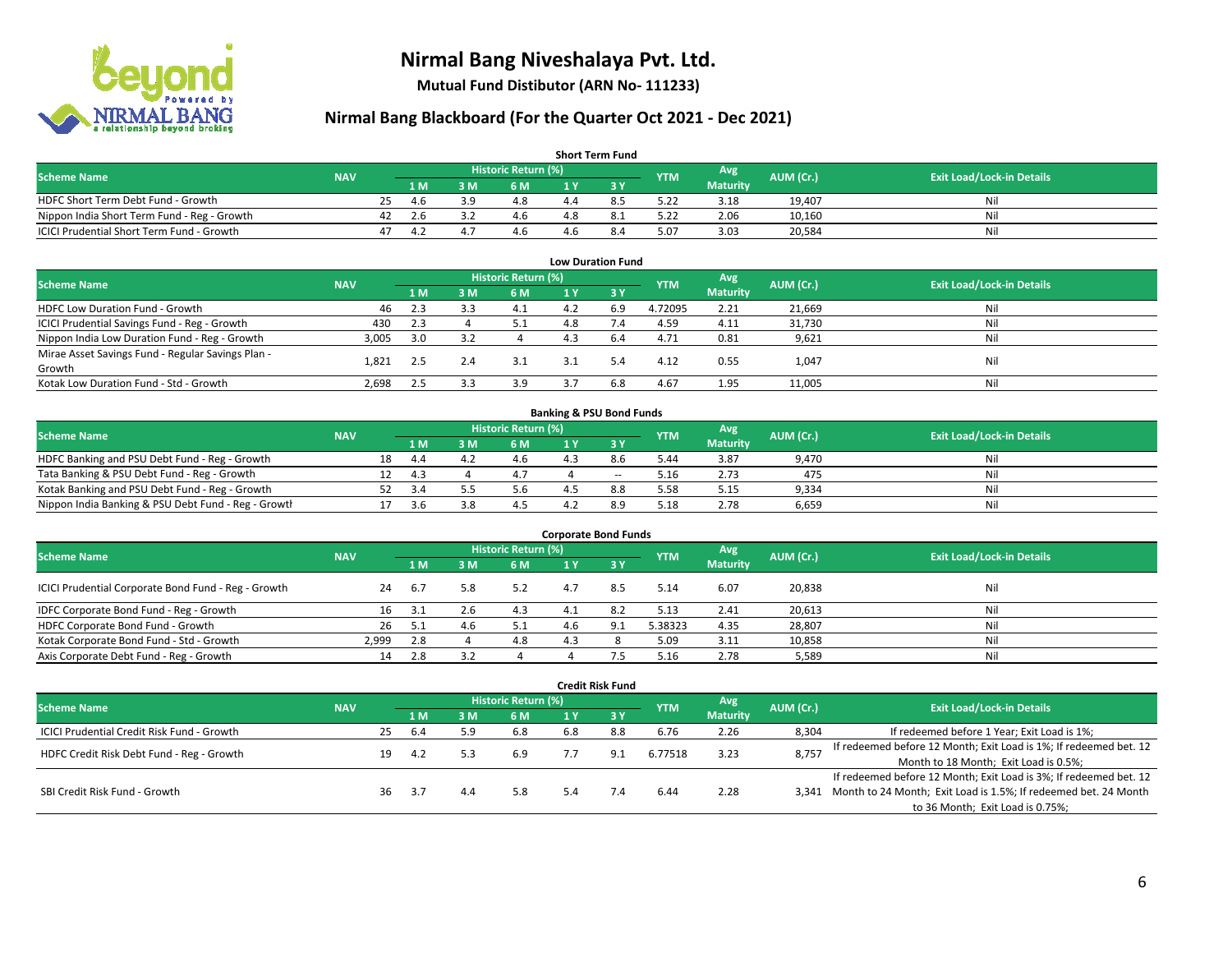

**Mutual Fund Distibutor (ARN No- 111233)**

| <b>Short Term Fund</b>                           |            |    |     |           |                     |  |      |            |                 |           |                                  |  |  |  |
|--------------------------------------------------|------------|----|-----|-----------|---------------------|--|------|------------|-----------------|-----------|----------------------------------|--|--|--|
| <b>Scheme Name</b>                               | <b>NAV</b> |    |     |           | Historic Return (%) |  |      | <b>YTM</b> | Avg             | AUM (Cr.) | <b>Exit Load/Lock-in Details</b> |  |  |  |
|                                                  |            |    | 1 M | 3 M       | 6 M                 |  |      |            | <b>Maturity</b> |           |                                  |  |  |  |
| HDFC Short Term Debt Fund - Growth               |            | 25 | 4 h | <b>20</b> | 4.8                 |  | 8.5  | 5.22       | 3.18            | 19,407    | Nil                              |  |  |  |
| Nippon India Short Term Fund - Reg - Growth      |            |    |     |           | 4.6                 |  | -8.1 | 5.22       | 2.06            | 10,160    | Nil                              |  |  |  |
| <b>ICICI Prudential Short Term Fund - Growth</b> |            |    |     | 4.        | 4.6                 |  | 8.4  | 5.07       | 3.03            | 20,584    | Nil                              |  |  |  |

| <b>Low Duration Fund</b>                          |            |     |     |                            |     |       |            |                 |           |                                  |  |  |  |
|---------------------------------------------------|------------|-----|-----|----------------------------|-----|-------|------------|-----------------|-----------|----------------------------------|--|--|--|
| <b>Scheme Name</b>                                | <b>NAV</b> |     |     | <b>Historic Return (%)</b> |     |       | <b>YTM</b> | Avg             | AUM (Cr.) | <b>Exit Load/Lock-in Details</b> |  |  |  |
|                                                   |            | 1 M | 3 M | 6 M                        |     | - 3 Y |            | <b>Maturity</b> |           |                                  |  |  |  |
| HDFC Low Duration Fund - Growth                   | 46         | 2.3 |     | 4.1                        | 4.2 | 6.9   | 4.72095    | 2.21            | 21,669    | Nil                              |  |  |  |
| ICICI Prudential Savings Fund - Reg - Growth      | 430        | 2.3 |     | 5.1                        | 4.8 |       | 4.59       | 4.11            | 31,730    | Nil                              |  |  |  |
| Nippon India Low Duration Fund - Reg - Growth     | 3,005      | 3.0 |     |                            | 4.3 | 6.4   | 4.71       | 0.81            | 9,621     | Nil                              |  |  |  |
| Mirae Asset Savings Fund - Regular Savings Plan - |            |     |     |                            |     |       | 4.12       |                 |           | Nil                              |  |  |  |
| Growth                                            | 1.821      | 2.5 |     | 3.1                        | 3.1 |       |            | 0.55            | 1,047     |                                  |  |  |  |
| Kotak Low Duration Fund - Std - Growth            | 2,698      | 2.5 |     | 3.9                        |     | 6.8   | 4.67       | 1.95            | 11,005    | Nil                              |  |  |  |

| <b>Banking &amp; PSU Bond Funds</b>                 |            |    |     |     |                            |    |       |            |                 |           |                                  |  |  |  |
|-----------------------------------------------------|------------|----|-----|-----|----------------------------|----|-------|------------|-----------------|-----------|----------------------------------|--|--|--|
| <b>Scheme Name</b>                                  | <b>NAV</b> |    |     |     | <b>Historic Return (%)</b> |    |       | <b>YTM</b> | Avg             | AUM (Cr.) | <b>Exit Load/Lock-in Details</b> |  |  |  |
|                                                     |            |    | 4 M | 3 M | 6 M                        |    |       |            | <b>Maturity</b> |           |                                  |  |  |  |
| HDFC Banking and PSU Debt Fund - Reg - Growth       |            | 18 | 4.4 | 4.2 | 4.6                        | 43 | 8.6   | 5.44       | 3.87            | 9.470     | Nil                              |  |  |  |
| Tata Banking & PSU Debt Fund - Reg - Growth         |            |    | 43  |     |                            |    | $- -$ | 5.16       | 2.73            | 475       | Nil                              |  |  |  |
| Kotak Banking and PSU Debt Fund - Reg - Growth      |            |    |     |     | 5.6                        |    | 8.8   | 5.58       | 5.15            | 9,334     | Nil                              |  |  |  |
| Nippon India Banking & PSU Debt Fund - Reg - Growth |            |    | 3.b | 3.8 |                            |    |       | 5.18       | 2.78            | 6.659     | Nil                              |  |  |  |

| <b>Corporate Bond Funds</b>                         |            |     |     |                     |     |      |            |                        |           |                                  |  |
|-----------------------------------------------------|------------|-----|-----|---------------------|-----|------|------------|------------------------|-----------|----------------------------------|--|
| <b>Scheme Name</b>                                  | <b>NAV</b> |     |     | Historic Return (%) |     |      | <b>YTM</b> | Avg<br><b>Maturity</b> | AUM (Cr.) | <b>Exit Load/Lock-in Details</b> |  |
|                                                     |            | 1 M | 3 M | 6 M                 |     | -3 Y |            |                        |           |                                  |  |
| ICICI Prudential Corporate Bond Fund - Reg - Growth | 24         | 6.7 | 5.8 | 5.2                 | 4.7 | 8.5  | 5.14       | 6.07                   | 20,838    | Nil                              |  |
| IDFC Corporate Bond Fund - Reg - Growth             |            | 3.1 |     | 4.3                 |     |      | 5.13       | 2.41                   | 20,613    | Nil                              |  |
| HDFC Corporate Bond Fund - Growth                   | 26         | 5.1 |     | 5.1                 | 4.6 |      | 5.38323    | 4.35                   | 28,807    | Nil                              |  |
| Kotak Corporate Bond Fund - Std - Growth            | 2.999      | 2.8 |     | 4.8                 | ⊿ ∶ |      | 5.09       | 3.11                   | 10,858    | Nil                              |  |
| Axis Corporate Debt Fund - Reg - Growth             | 14         | 2.8 |     |                     |     |      | 5.16       | 2.78                   | 5,589     | Nil                              |  |

|                                                   |            |                     |      |     |            |     | <b>Credit Risk Fund</b> |            |                 |           |                                                                       |
|---------------------------------------------------|------------|---------------------|------|-----|------------|-----|-------------------------|------------|-----------------|-----------|-----------------------------------------------------------------------|
| <b>Scheme Name</b>                                | <b>NAV</b> | Historic Return (%) |      |     |            |     |                         | <b>YTM</b> | Avg             | AUM (Cr.) | <b>Exit Load/Lock-in Details</b>                                      |
|                                                   |            |                     | 1 M  | 3 M | <b>6 M</b> | 1 Y | $-3V$                   |            | <b>Maturity</b> |           |                                                                       |
| <b>ICICI Prudential Credit Risk Fund - Growth</b> |            | 25                  | -6.4 | 5.9 | 6.8        | 6.8 | 8.8                     | 6.76       | 2.26            | 8,304     | If redeemed before 1 Year; Exit Load is 1%;                           |
| HDFC Credit Risk Debt Fund - Reg - Growth         |            | 19                  | -4.2 |     | 6.9        |     | 9.1                     | 6.77518    | 3.23            | 8,757     | If redeemed before 12 Month; Exit Load is 1%; If redeemed bet. 12     |
|                                                   |            |                     |      |     |            |     |                         |            |                 |           | Month to 18 Month; Exit Load is 0.5%;                                 |
|                                                   |            |                     |      |     |            |     |                         |            |                 |           | If redeemed before 12 Month; Exit Load is 3%; If redeemed bet. 12     |
| SBI Credit Risk Fund - Growth                     |            | 36                  | 3.7  | 4.4 | 5.8        |     | 7.4                     | 6.44       | 2.28            |           | 3,341 Month to 24 Month; Exit Load is 1.5%; If redeemed bet. 24 Month |
|                                                   |            |                     |      |     |            |     |                         |            |                 |           | to 36 Month; Exit Load is 0.75%;                                      |